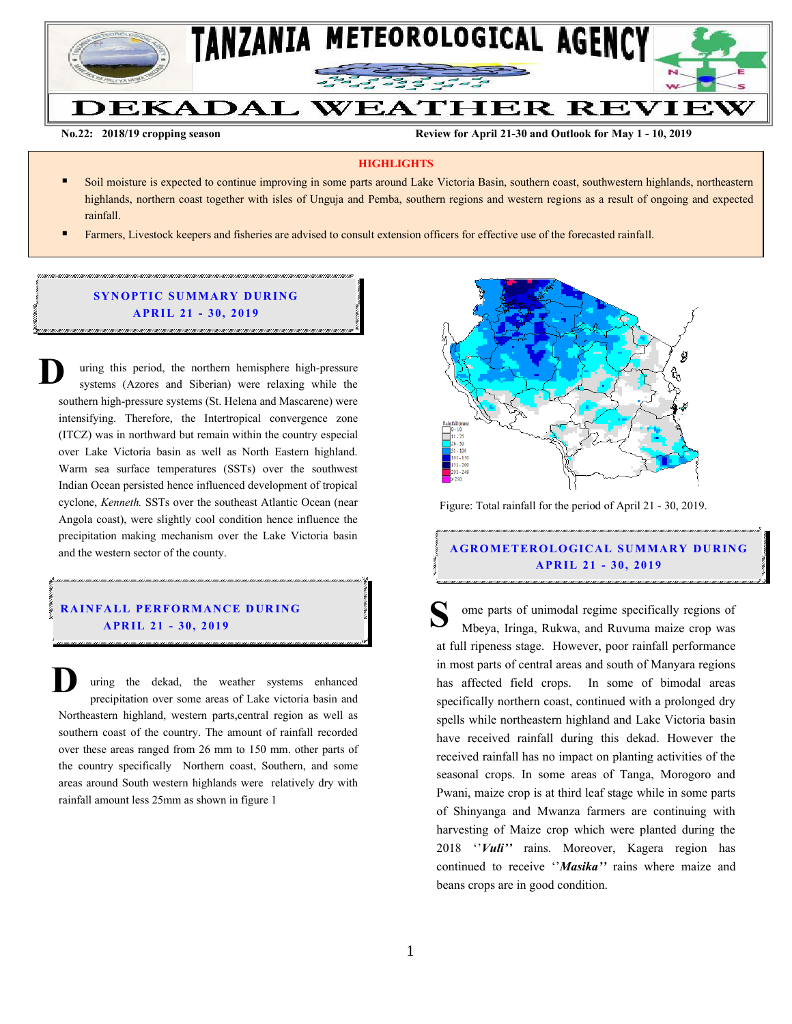

**No.22: 2018/19 cropping season Review for April 21-30 and Outlook for May 1 - 10, 2019** 

### **HIGHLIGHTS**

- Soil moisture is expected to continue improving in some parts around Lake Victoria Basin, southern coast, southwestern highlands, northeastern highlands, northern coast together with isles of Unguja and Pemba, southern regions and western regions as a result of ongoing and expected rainfall.
- Farmers, Livestock keepers and fisheries are advised to consult extension officers for effective use of the forecasted rainfall.

## **SYNOPTIC SUMMARY DURING A PR IL 21 - 30, 201 9**

uring this period, the northern hemisphere high-pressure systems (Azores and Siberian) were relaxing while the southern high-pressure systems (St. Helena and Mascarene) were intensifying. Therefore, the Intertropical convergence zone (ITCZ) was in northward but remain within the country especial over Lake Victoria basin as well as North Eastern highland. Warm sea surface temperatures (SSTs) over the southwest Indian Ocean persisted hence influenced development of tropical cyclone, *Kenneth.* SSTs over the southeast Atlantic Ocean (near Angola coast), were slightly cool condition hence influence the precipitation making mechanism over the Lake Victoria basin and the western sector of the county. **D**

## **RAINFALL PERFORMANCE DURING A PR IL 21 - 30, 201 9**

uring the dekad, the weather systems enhanced precipitation over some areas of Lake victoria basin and Northeastern highland, western parts,central region as well as southern coast of the country. The amount of rainfall recorded over these areas ranged from 26 mm to 150 mm. other parts of the country specifically Northern coast, Southern, and some areas around South western highlands were relatively dry with rainfall amount less 25mm as shown in figure 1 **D**



Figure: Total rainfall for the period of April 21 - 30, 2019.

**A G RO METER O LO G IC AL SU MMAR Y DU R IN G A PR IL 21 - 30, 201 9**

ome parts of unimodal regime specifically regions of Mbeya, Iringa, Rukwa, and Ruvuma maize crop was at full ripeness stage. However, poor rainfall performance in most parts of central areas and south of Manyara regions has affected field crops. In some of bimodal areas specifically northern coast, continued with a prolonged dry spells while northeastern highland and Lake Victoria basin have received rainfall during this dekad. However the received rainfall has no impact on planting activities of the seasonal crops. In some areas of Tanga, Morogoro and Pwani, maize crop is at third leaf stage while in some parts of Shinyanga and Mwanza farmers are continuing with harvesting of Maize crop which were planted during the 2018 ''*Vuli''* rains. Moreover, Kagera region has continued to receive ''*Masika''* rains where maize and beans crops are in good condition. **S**